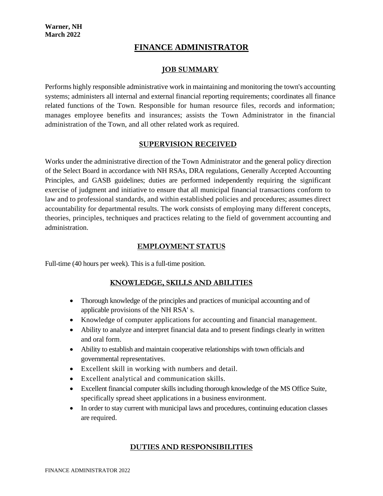# **FINANCE ADMINISTRATOR**

### **JOB SUMMARY**

Performs highly responsible administrative work in maintaining and monitoring the town's accounting systems; administers all internal and external financial reporting requirements; coordinates all finance related functions of the Town. Responsible for human resource files, records and information; manages employee benefits and insurances; assists the Town Administrator in the financial administration of the Town, and all other related work as required.

#### **SUPERVISION RECEIVED**

Works under the administrative direction of the Town Administrator and the general policy direction of the Select Board in accordance with NH RSAs, DRA regulations, Generally Accepted Accounting Principles, and GASB guidelines; duties are performed independently requiring the significant exercise of judgment and initiative to ensure that all municipal financial transactions conform to law and to professional standards, and within established policies and procedures; assumes direct accountability for departmental results. The work consists of employing many different concepts, theories, principles, techniques and practices relating to the field of government accounting and administration.

#### **EMPLOYMENT STATUS**

Full-time (40 hours per week). This is a full-time position.

## **KNOWLEDGE, SKILLS AND ABILITIES**

- Thorough knowledge of the principles and practices of municipal accounting and of applicable provisions of the NH RSA' s.
- Knowledge of computer applications for accounting and financial management.
- Ability to analyze and interpret financial data and to present findings clearly in written and oral form.
- Ability to establish and maintain cooperative relationships with town officials and governmental representatives.
- Excellent skill in working with numbers and detail.
- Excellent analytical and communication skills.
- Excellent financial computer skills including thorough knowledge of the MS Office Suite, specifically spread sheet applications in a business environment.
- In order to stay current with municipal laws and procedures, continuing education classes are required.

#### **DUTIES AND RESPONSIBILITIES**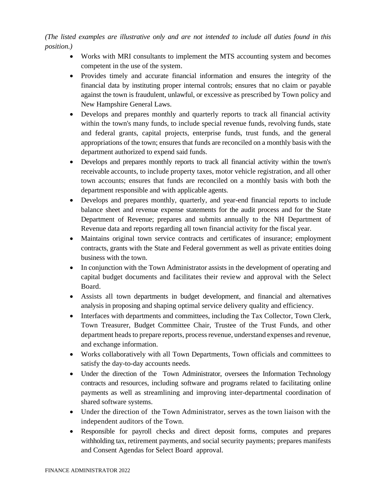*(The listed examples are illustrative only and are not intended to include all duties found in this position.)*

- Works with MRI consultants to implement the MTS accounting system and becomes competent in the use of the system.
- Provides timely and accurate financial information and ensures the integrity of the financial data by instituting proper internal controls; ensures that no claim or payable against the town is fraudulent, unlawful, or excessive as prescribed by Town policy and New Hampshire General Laws.
- Develops and prepares monthly and quarterly reports to track all financial activity within the town's many funds, to include special revenue funds, revolving funds, state and federal grants, capital projects, enterprise funds, trust funds, and the general appropriations of the town; ensures that funds are reconciled on a monthly basis with the department authorized to expend said funds.
- Develops and prepares monthly reports to track all financial activity within the town's receivable accounts, to include property taxes, motor vehicle registration, and all other town accounts; ensures that funds are reconciled on a monthly basis with both the department responsible and with applicable agents.
- Develops and prepares monthly, quarterly, and year-end financial reports to include balance sheet and revenue expense statements for the audit process and for the State Department of Revenue; prepares and submits annually to the NH Department of Revenue data and reports regarding all town financial activity for the fiscal year.
- Maintains original town service contracts and certificates of insurance; employment contracts, grants with the State and Federal government as well as private entities doing business with the town.
- In conjunction with the Town Administrator assists in the development of operating and capital budget documents and facilitates their review and approval with the Select Board.
- Assists all town departments in budget development, and financial and alternatives analysis in proposing and shaping optimal service delivery quality and efficiency.
- Interfaces with departments and committees, including the Tax Collector, Town Clerk, Town Treasurer, Budget Committee Chair, Trustee of the Trust Funds, and other department heads to prepare reports, process revenue, understand expenses and revenue, and exchange information.
- Works collaboratively with all Town Departments, Town officials and committees to satisfy the day-to-day accounts needs.
- Under the direction of the Town Administrator, oversees the Information Technology contracts and resources, including software and programs related to facilitating online payments as well as streamlining and improving inter-departmental coordination of shared software systems.
- Under the direction of the Town Administrator, serves as the town liaison with the independent auditors of the Town.
- Responsible for payroll checks and direct deposit forms, computes and prepares withholding tax, retirement payments, and social security payments; prepares manifests and Consent Agendas for Select Board approval.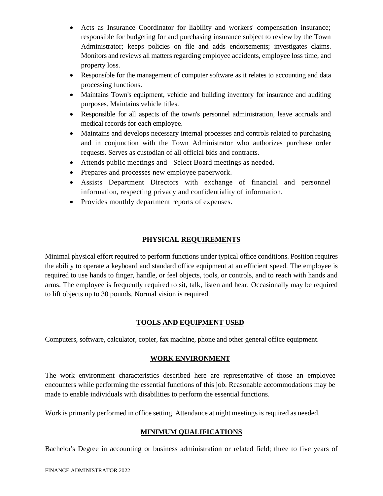- Acts as Insurance Coordinator for liability and workers' compensation insurance; responsible for budgeting for and purchasing insurance subject to review by the Town Administrator; keeps policies on file and adds endorsements; investigates claims. Monitors and reviews all matters regarding employee accidents, employee loss time, and property loss.
- Responsible for the management of computer software as it relates to accounting and data processing functions.
- Maintains Town's equipment, vehicle and building inventory for insurance and auditing purposes. Maintains vehicle titles.
- Responsible for all aspects of the town's personnel administration, leave accruals and medical records for each employee.
- Maintains and develops necessary internal processes and controls related to purchasing and in conjunction with the Town Administrator who authorizes purchase order requests. Serves as custodian of all official bids and contracts.
- Attends public meetings and Select Board meetings as needed.
- Prepares and processes new employee paperwork.
- Assists Department Directors with exchange of financial and personnel information, respecting privacy and confidentiality of information.
- Provides monthly department reports of expenses.

## **PHYSICAL REQUIREMENTS**

Minimal physical effort required to perform functions under typical office conditions. Position requires the ability to operate a keyboard and standard office equipment at an efficient speed. The employee is required to use hands to finger, handle, or feel objects, tools, or controls, and to reach with hands and arms. The employee is frequently required to sit, talk, listen and hear. Occasionally may be required to lift objects up to 30 pounds. Normal vision is required.

#### **TOOLS AND EQUIPMENT USED**

Computers, software, calculator, copier, fax machine, phone and other general office equipment.

#### **WORK ENVIRONMENT**

The work environment characteristics described here are representative of those an employee encounters while performing the essential functions of this job. Reasonable accommodations may be made to enable individuals with disabilities to perform the essential functions.

Work is primarily performed in office setting. Attendance at night meetings is required as needed.

#### **MINIMUM QUALIFICATIONS**

Bachelor's Degree in accounting or business administration or related field; three to five years of